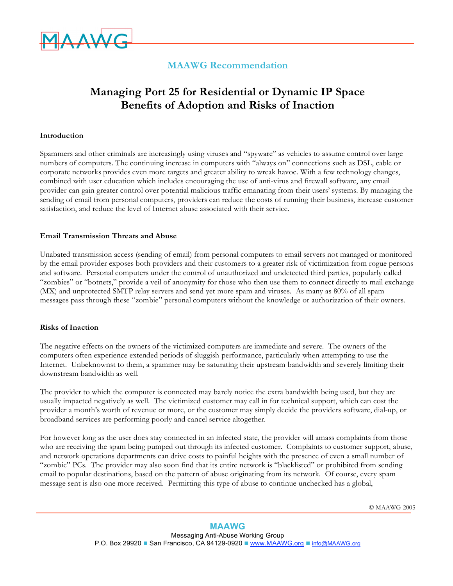

# **MAAWG Recommendation**

# **Managing Port 25 for Residential or Dynamic IP Space Benefits of Adoption and Risks of Inaction**

#### **Introduction**

Spammers and other criminals are increasingly using viruses and "spyware" as vehicles to assume control over large numbers of computers. The continuing increase in computers with "always on" connections such as DSL, cable or corporate networks provides even more targets and greater ability to wreak havoc. With a few technology changes, combined with user education which includes encouraging the use of anti-virus and firewall software, any email provider can gain greater control over potential malicious traffic emanating from their users' systems. By managing the sending of email from personal computers, providers can reduce the costs of running their business, increase customer satisfaction, and reduce the level of Internet abuse associated with their service.

#### **Email Transmission Threats and Abuse**

Unabated transmission access (sending of email) from personal computers to email servers not managed or monitored by the email provider exposes both providers and their customers to a greater risk of victimization from rogue persons and software. Personal computers under the control of unauthorized and undetected third parties, popularly called "zombies" or "botnets," provide a veil of anonymity for those who then use them to connect directly to mail exchange (MX) and unprotected SMTP relay servers and send yet more spam and viruses. As many as 80% of all spam messages pass through these "zombie" personal computers without the knowledge or authorization of their owners.

#### **Risks of Inaction**

The negative effects on the owners of the victimized computers are immediate and severe. The owners of the computers often experience extended periods of sluggish performance, particularly when attempting to use the Internet. Unbeknownst to them, a spammer may be saturating their upstream bandwidth and severely limiting their downstream bandwidth as well.

The provider to which the computer is connected may barely notice the extra bandwidth being used, but they are usually impacted negatively as well. The victimized customer may call in for technical support, which can cost the provider a month's worth of revenue or more, or the customer may simply decide the providers software, dial-up, or broadband services are performing poorly and cancel service altogether.

For however long as the user does stay connected in an infected state, the provider will amass complaints from those who are receiving the spam being pumped out through its infected customer. Complaints to customer support, abuse, and network operations departments can drive costs to painful heights with the presence of even a small number of "zombie" PCs. The provider may also soon find that its entire network is "blacklisted" or prohibited from sending email to popular destinations, based on the pattern of abuse originating from its network. Of course, every spam message sent is also one more received. Permitting this type of abuse to continue unchecked has a global,

© MAAWG 2005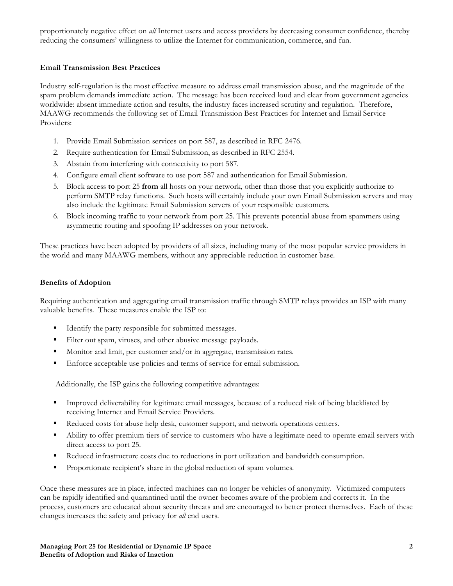proportionately negative effect on *all* Internet users and access providers by decreasing consumer confidence, thereby reducing the consumers' willingness to utilize the Internet for communication, commerce, and fun.

# **Email Transmission Best Practices**

Industry self-regulation is the most effective measure to address email transmission abuse, and the magnitude of the spam problem demands immediate action. The message has been received loud and clear from government agencies worldwide: absent immediate action and results, the industry faces increased scrutiny and regulation. Therefore, MAAWG recommends the following set of Email Transmission Best Practices for Internet and Email Service Providers:

- 1. Provide Email Submission services on port 587, as described in RFC 2476.
- 2. Require authentication for Email Submission, as described in RFC 2554.
- 3. Abstain from interfering with connectivity to port 587.
- 4. Configure email client software to use port 587 and authentication for Email Submission.
- 5. Block access **to** port 25 **from** all hosts on your network, other than those that you explicitly authorize to perform SMTP relay functions. Such hosts will certainly include your own Email Submission servers and may also include the legitimate Email Submission servers of your responsible customers.
- 6. Block incoming traffic to your network from port 25. This prevents potential abuse from spammers using asymmetric routing and spoofing IP addresses on your network.

These practices have been adopted by providers of all sizes, including many of the most popular service providers in the world and many MAAWG members, without any appreciable reduction in customer base.

### **Benefits of Adoption**

Requiring authentication and aggregating email transmission traffic through SMTP relays provides an ISP with many valuable benefits. These measures enable the ISP to:

- Identify the party responsible for submitted messages.
- Filter out spam, viruses, and other abusive message payloads.
- Monitor and limit, per customer and/or in aggregate, transmission rates.
- Enforce acceptable use policies and terms of service for email submission.

Additionally, the ISP gains the following competitive advantages:

- Improved deliverability for legitimate email messages, because of a reduced risk of being blacklisted by receiving Internet and Email Service Providers.
- Reduced costs for abuse help desk, customer support, and network operations centers.
- Ability to offer premium tiers of service to customers who have a legitimate need to operate email servers with direct access to port 25.
- Reduced infrastructure costs due to reductions in port utilization and bandwidth consumption.
- Proportionate recipient's share in the global reduction of spam volumes.

Once these measures are in place, infected machines can no longer be vehicles of anonymity. Victimized computers can be rapidly identified and quarantined until the owner becomes aware of the problem and corrects it. In the process, customers are educated about security threats and are encouraged to better protect themselves. Each of these changes increases the safety and privacy for *all* end users.